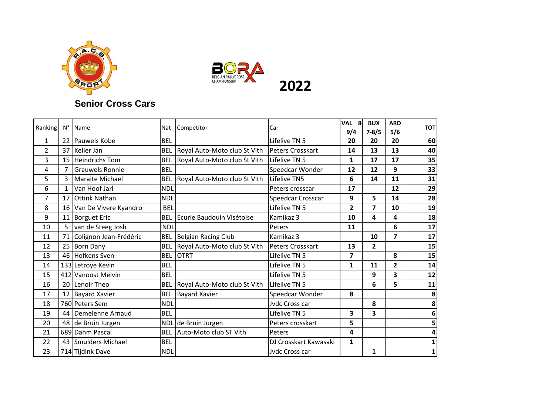



## **Senior Cross Cars**

| Ranking        | $N^{\circ}$    | Name                     | Nat        | Competitor                   | Car                     | <b>VAL</b><br>8<br>9/4 | <b>BUX</b><br>$7 - 8/5$ | <b>ARD</b><br>5/6 | тот          |
|----------------|----------------|--------------------------|------------|------------------------------|-------------------------|------------------------|-------------------------|-------------------|--------------|
| 1              |                | 22 Pauwels Kobe          | <b>BEL</b> |                              | Lifelive TN 5           | 20                     | 20                      | 20                | 60           |
| $\overline{2}$ | 37             | Keller Jan               | <b>BEL</b> | Royal Auto-Moto club St Vith | Peters Crosskart        | 14                     | 13                      | 13                | 40           |
| 3              |                | 15 Heindrichs Tom        | <b>BEL</b> | Royal Auto-Moto club St Vith | Lifelive TN 5           | 1                      | 17                      | 17                | 35           |
| 4              | $\overline{7}$ | <b>Grauwels Ronnie</b>   | <b>BEL</b> |                              | Speedcar Wonder         | 12                     | 12                      | 9                 | 33           |
| 5              | 3              | Maraite Michael          | <b>BEL</b> | Royal Auto-Moto club St Vith | Lifelive TN5            | 6                      | 14                      | 11                | 31           |
| 6              | $\mathbf{1}$   | Van Hoof Jari            | <b>NDL</b> |                              | Peters crosscar         | 17                     |                         | 12                | 29           |
| $\overline{7}$ | 17             | <b>Ottink Nathan</b>     | <b>NDL</b> |                              | Speedcar Crosscar       | 9                      | 5                       | 14                | 28           |
| 8              |                | 16 Van De Vivere Kyandro | <b>BEL</b> |                              | Lifelive TN 5           | 2                      | 7                       | 10                | 19           |
| 9              | 11             | <b>Borguet Eric</b>      | <b>BEL</b> | Ecurie Baudouin Visétoise    | Kamikaz 3               | 10                     | 4                       | 4                 | 18           |
| 10             | 5              | van de Steeg Josh        | <b>NDL</b> |                              | Peters                  | 11                     |                         | 6                 | 17           |
| 11             | 71             | Colignon Jean-Frédéric   | <b>BEL</b> | <b>Belgian Racing Club</b>   | Kamikaz 3               |                        | 10                      | 7                 | 17           |
| 12             | 25             | <b>Born Dany</b>         | <b>BEL</b> | Royal Auto-Moto club St Vith | <b>Peters Crosskart</b> | 13                     | $\overline{2}$          |                   | 15           |
| 13             | 46             | Hofkens Sven             | <b>BEL</b> | <b>OTRT</b>                  | Lifelive TN 5           | 7                      |                         | 8                 | 15           |
| 14             |                | 133 Letroye Kevin        | <b>BEL</b> |                              | Lifelive TN 5           | 1                      | 11                      | $\overline{2}$    | 14           |
| 15             |                | 412 Vanoost Melvin       | <b>BEL</b> |                              | Lifelive TN 5           |                        | 9                       | 3                 | 12           |
| 16             | 20             | Lenoir Theo              | <b>BEL</b> | Royal Auto-Moto club St Vith | Lifelive TN 5           |                        | 6                       | 5                 | 11           |
| 17             |                | 12 Bayard Xavier         | <b>BEL</b> | <b>Bayard Xavier</b>         | Speedcar Wonder         | 8                      |                         |                   | 8            |
| 18             |                | 760 Peters Sem           | <b>NDL</b> |                              | Jvdc Cross car          |                        | 8                       |                   | 8            |
| 19             |                | 44 Demelenne Arnaud      | <b>BEL</b> |                              | Lifelive TN 5           | 3                      | 3                       |                   | 6            |
| 20             | 48             | de Bruin Jurgen          | <b>NDL</b> | de Bruin Jurgen              | Peters crosskart        | 5                      |                         |                   | 5            |
| 21             |                | 689 Dahm Pascal          | <b>BEL</b> | Auto-Moto club ST Vith       | Peters                  | 4                      |                         |                   | 4            |
| 22             |                | 43 Smulders Michael      | <b>BEL</b> |                              | DJ Crosskart Kawasaki   | 1                      |                         |                   | $\mathbf{1}$ |
| 23             |                | 714 Tijdink Dave         | <b>NDL</b> |                              | Jvdc Cross car          |                        | 1                       |                   | $\mathbf{1}$ |